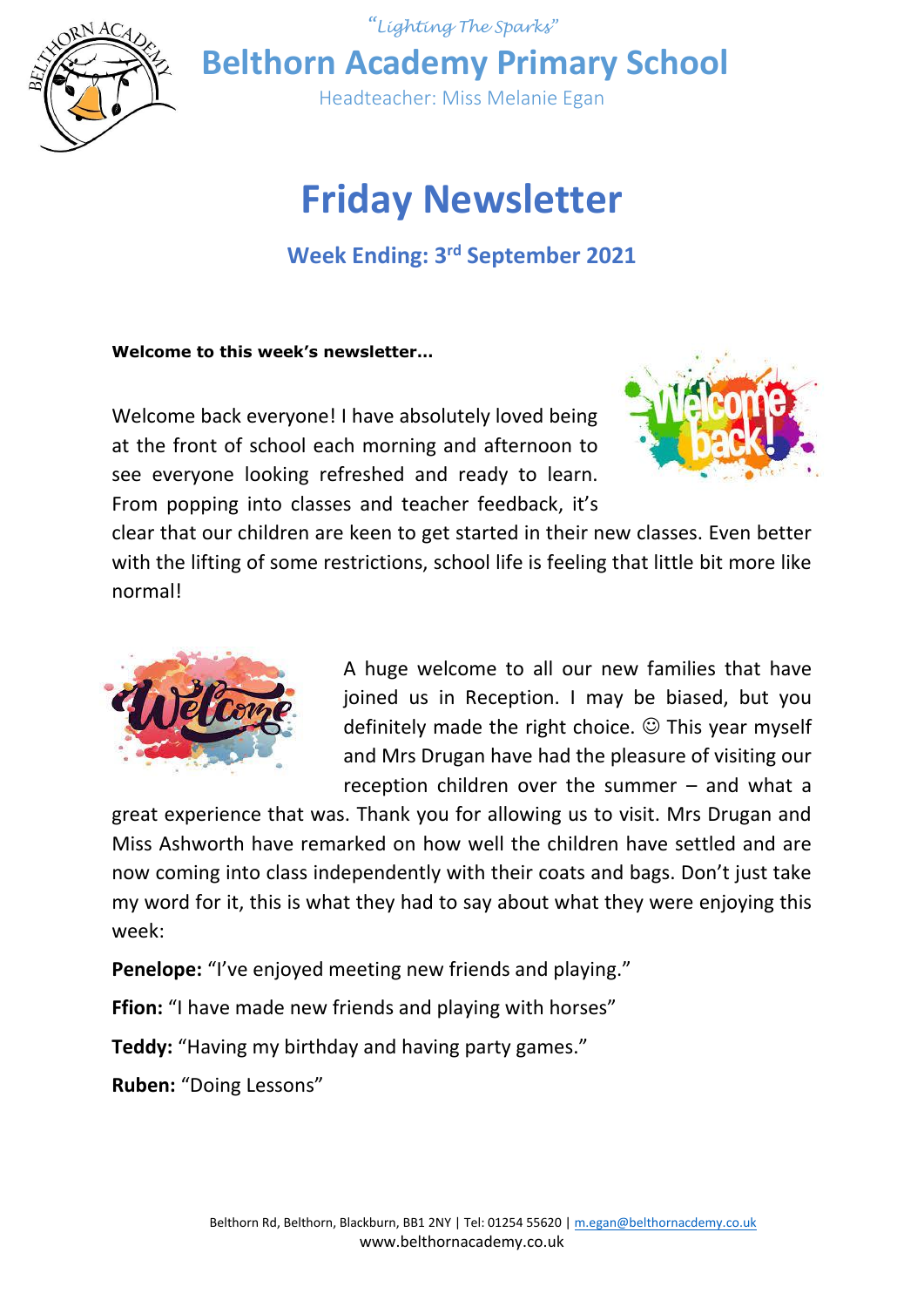



**Belthorn Academy Primary School**

Headteacher: Miss Melanie Egan

# **Friday Newsletter**

# **Week Ending: 3rd September 2021**

# **Welcome to this week's newsletter…**

Welcome back everyone! I have absolutely loved being at the front of school each morning and afternoon to see everyone looking refreshed and ready to learn. From popping into classes and teacher feedback, it's



clear that our children are keen to get started in their new classes. Even better with the lifting of some restrictions, school life is feeling that little bit more like normal!



A huge welcome to all our new families that have joined us in Reception. I may be biased, but you definitely made the right choice.  $\odot$  This year myself and Mrs Drugan have had the pleasure of visiting our reception children over the summer – and what a

great experience that was. Thank you for allowing us to visit. Mrs Drugan and Miss Ashworth have remarked on how well the children have settled and are now coming into class independently with their coats and bags. Don't just take my word for it, this is what they had to say about what they were enjoying this week:

**Penelope:** "I've enjoyed meeting new friends and playing."

**Ffion:** "I have made new friends and playing with horses"

**Teddy:** "Having my birthday and having party games."

**Ruben:** "Doing Lessons"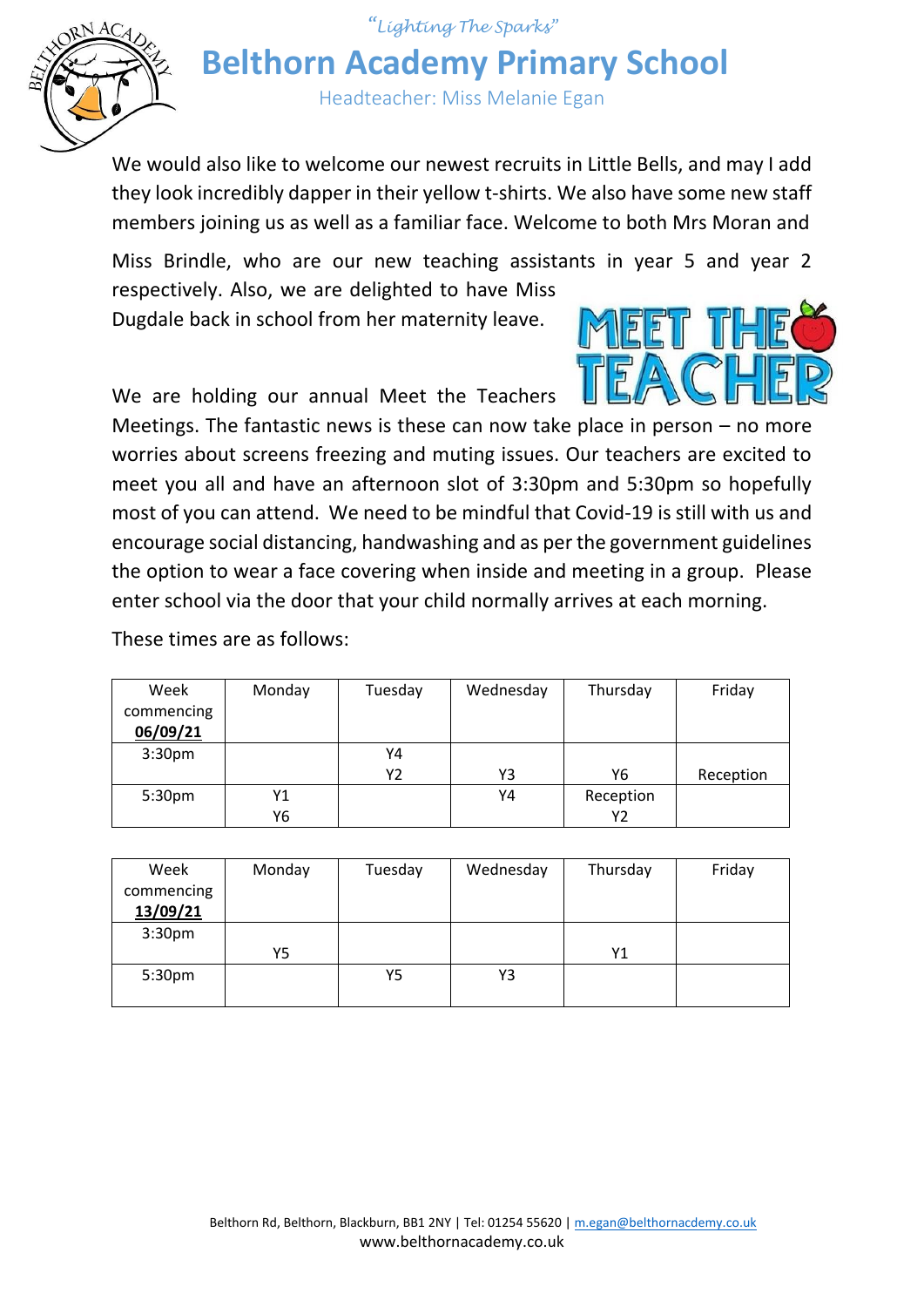

*"Lighting The Sparks"* **Belthorn Academy Primary School**

Headteacher: Miss Melanie Egan

We would also like to welcome our newest recruits in Little Bells, and may I add they look incredibly dapper in their yellow t-shirts. We also have some new staff members joining us as well as a familiar face. Welcome to both Mrs Moran and

Miss Brindle, who are our new teaching assistants in year 5 and year 2 respectively. Also, we are delighted to have Miss

Dugdale back in school from her maternity leave.

We are holding our annual Meet the Teachers



Meetings. The fantastic news is these can now take place in person – no more worries about screens freezing and muting issues. Our teachers are excited to meet you all and have an afternoon slot of 3:30pm and 5:30pm so hopefully most of you can attend. We need to be mindful that Covid-19 is still with us and encourage social distancing, handwashing and as per the government guidelines the option to wear a face covering when inside and meeting in a group. Please enter school via the door that your child normally arrives at each morning.

These times are as follows:

| Week               | Monday | Tuesday | Wednesday | Thursday  | Friday    |
|--------------------|--------|---------|-----------|-----------|-----------|
| commencing         |        |         |           |           |           |
| 06/09/21           |        |         |           |           |           |
| 3:30 <sub>pm</sub> |        | Υ4      |           |           |           |
|                    |        | Υ2      | Y3        | Υ6        | Reception |
| 5:30 <sub>pm</sub> | Υ1     |         | Y4        | Reception |           |
|                    | Υ6     |         |           | Υ2        |           |

| Week<br>commencing<br>13/09/21 | Monday | Tuesday | Wednesday | Thursday | Friday |
|--------------------------------|--------|---------|-----------|----------|--------|
| 3:30 <sub>pm</sub>             |        |         |           |          |        |
|                                | Υ5     |         |           | Y1       |        |
| 5:30pm                         |        | Y5      | Y3        |          |        |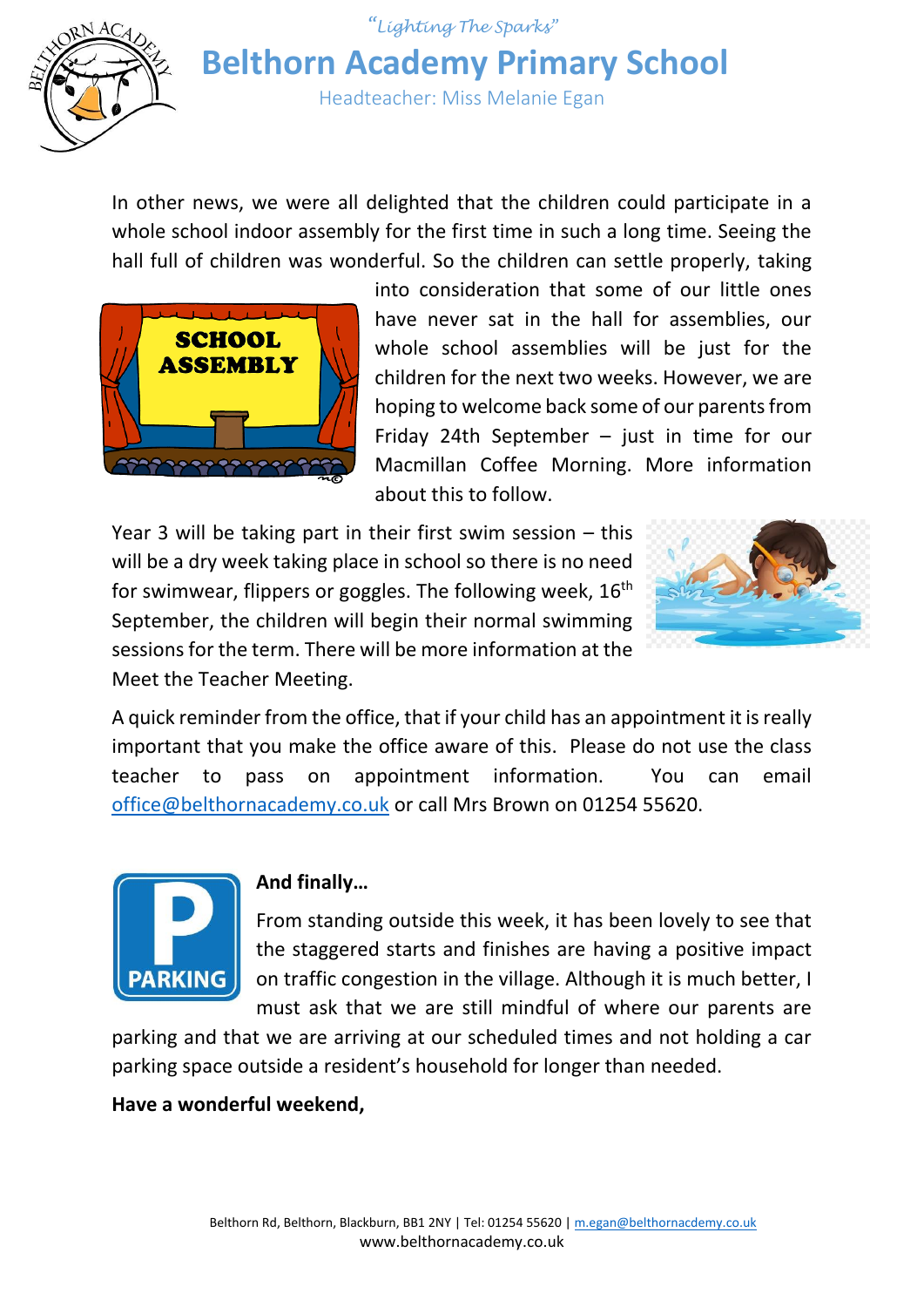

*"Lighting The Sparks"* **Belthorn Academy Primary School**

Headteacher: Miss Melanie Egan

In other news, we were all delighted that the children could participate in a whole school indoor assembly for the first time in such a long time. Seeing the hall full of children was wonderful. So the children can settle properly, taking



into consideration that some of our little ones have never sat in the hall for assemblies, our whole school assemblies will be just for the children for the next two weeks. However, we are hoping to welcome back some of our parents from Friday 24th September – just in time for our Macmillan Coffee Morning. More information about this to follow.

Year 3 will be taking part in their first swim session – this will be a dry week taking place in school so there is no need for swimwear, flippers or goggles. The following week, 16<sup>th</sup> September, the children will begin their normal swimming sessions for the term. There will be more information at the Meet the Teacher Meeting.



A quick reminder from the office, that if your child has an appointment it is really important that you make the office aware of this. Please do not use the class teacher to pass on appointment information. You can email [office@belthornacademy.co.uk](mailto:office@belthornacademy.co.uk) or call Mrs Brown on 01254 55620.



# **And finally…**

From standing outside this week, it has been lovely to see that the staggered starts and finishes are having a positive impact on traffic congestion in the village. Although it is much better, I must ask that we are still mindful of where our parents are

parking and that we are arriving at our scheduled times and not holding a car parking space outside a resident's household for longer than needed.

## **Have a wonderful weekend,**